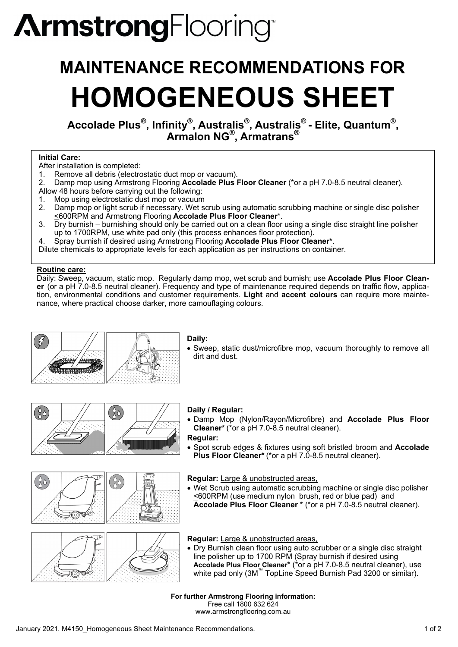# **ArmstrongFlooring**

## **MAINTENANCE RECOMMENDATIONS FOR HOMOGENEOUS SHEET**

**Accolade Plus®, Infinity®, Australis®, Australis® - Elite, Quantum®, Armalon NG®, Armatrans®**

#### **Initial Care:**

- After installation is completed:
- 1. Remove all debris (electrostatic duct mop or vacuum).
- 2. Damp mop using Armstrong Flooring **Accolade Plus Floor Cleaner** (\*or a pH 7.0-8.5 neutral cleaner).
- Allow 48 hours before carrying out the following:
- 1. Mop using electrostatic dust mop or vacuum<br>2. Damp mop or light scrub if necessary. Wet s
- Damp mop or light scrub if necessary. Wet scrub using automatic scrubbing machine or single disc polisher <600RPM and Armstrong Flooring **Accolade Plus Floor Cleaner**\*.
- 3. Dry burnish burnishing should only be carried out on a clean floor using a single disc straight line polisher up to 1700RPM, use white pad only (this process enhances floor protection).

4. Spray burnish if desired using Armstrong Flooring **Accolade Plus Floor Cleaner\***.

Dilute chemicals to appropriate levels for each application as per instructions on container.

#### **Routine care:**

Daily: Sweep, vacuum, static mop. Regularly damp mop, wet scrub and burnish; use **Accolade Plus Floor Cleaner** (or a pH 7.0-8.5 neutral cleaner). Frequency and type of maintenance required depends on traffic flow, application, environmental conditions and customer requirements. **Light** and **accent colours** can require more maintenance, where practical choose darker, more camouflaging colours.



#### **Daily:**

Sweep, static dust/microfibre mop, vacuum thoroughly to remove all dirt and dust.



# $\frac{\delta}{\delta}$

#### **Daily / Regular:**

Damp Mop (Nylon/Rayon/Microfibre) and **Accolade Plus Floor Cleaner\*** (\*or a pH 7.0-8.5 neutral cleaner).

#### **Regular:**

Spot scrub edges & fixtures using soft bristled broom and **Accolade**  Plus Floor Cleaner<sup>\*</sup> (\*or a pH 7.0-8.5 neutral cleaner).

#### **Regular:** Large & unobstructed areas,

Wet Scrub using automatic scrubbing machine or single disc polisher <600RPM (use medium nylon brush, red or blue pad) and **Accolade Plus Floor Cleaner \*** (\*or a pH 7.0-8.5 neutral cleaner).

**Regular:** Large & unobstructed areas,

Dry Burnish clean floor using auto scrubber or a single disc straight line polisher up to 1700 RPM (Spray burnish if desired using **Accolade Plus Floor Cleaner\*** (\*or a pH 7.0-8.5 neutral cleaner), use white pad only (3M™ TopLine Speed Burnish Pad 3200 or similar).

**For further Armstrong Flooring information:**  Free call 1800 632 624 www.armstrongflooring.com.au